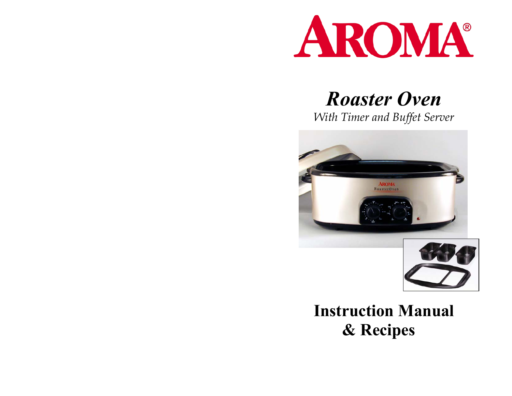

# *Roaster Oven*

*With Timer and Buffet Server* 





# **Instruction Manual & Recipes**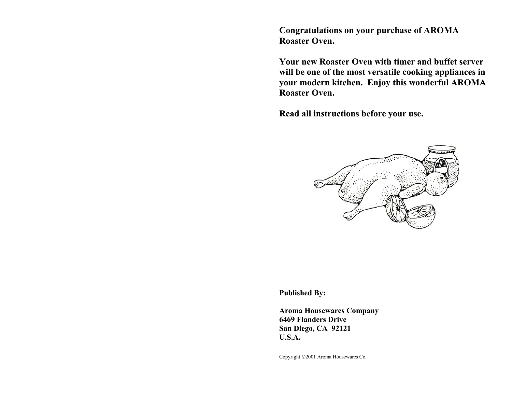**Congratulations on your purchase of AROMA Roaster Oven.** 

**Your new Roaster Oven with timer and buffet server will be one of the most versatile cooking appliances in your modern kitchen. Enjoy this wonderful AROMA Roaster Oven.** 

**Read all instructions before your use.** 



**Published By:** 

**Aroma Housewares Company 6469 Flanders Drive San Diego, CA 92121 U.S.A.** 

Copyright 2001 Aroma Housewares Co.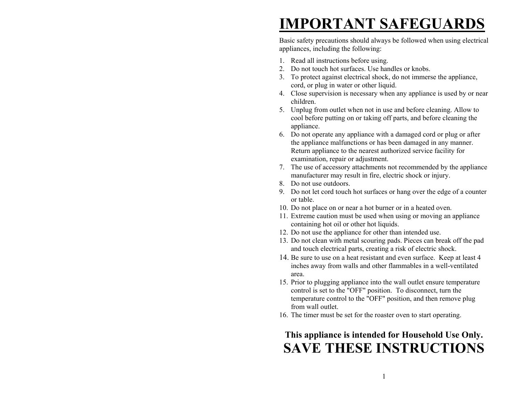# **IMPORTANT SAFEGUARDS**

Basic safety precautions should always be followed when using electrical appliances, including the following:

- 1. Read all instructions before using.
- 2. Do not touch hot surfaces. Use handles or knobs.
- 3. To protect against electrical shock, do not immerse the appliance, cord, or plug in water or other liquid.
- 4. Close supervision is necessary when any appliance is used by or near children.
- 5. Unplug from outlet when not in use and before cleaning. Allow to cool before putting on or taking off parts, and before cleaning the appliance.
- 6. Do not operate any appliance with a damaged cord or plug or after the appliance malfunctions or has been damaged in any manner. Return appliance to the nearest authorized service facility for examination, repair or adjustment.
- 7. The use of accessory attachments not recommended by the appliance manufacturer may result in fire, electric shock or injury.
- 8. Do not use outdoors.
- 9. Do not let cord touch hot surfaces or hang over the edge of a counter or table.
- 10. Do not place on or near a hot burner or in a heated oven.
- 11. Extreme caution must be used when using or moving an appliance containing hot oil or other hot liquids.
- 12. Do not use the appliance for other than intended use.
- 13. Do not clean with metal scouring pads. Pieces can break off the pad and touch electrical parts, creating a risk of electric shock.
- 14. Be sure to use on a heat resistant and even surface. Keep at least 4 inches away from walls and other flammables in a well-ventilated area.
- 15. Prior to plugging appliance into the wall outlet ensure temperature control is set to the "OFF" position. To disconnect, turn the temperature control to the "OFF" position, and then remove plug from wall outlet.
- 16. The timer must be set for the roaster oven to start operating.

# **This appliance is intended for Household Use Only. SAVE THESE INSTRUCTIONS**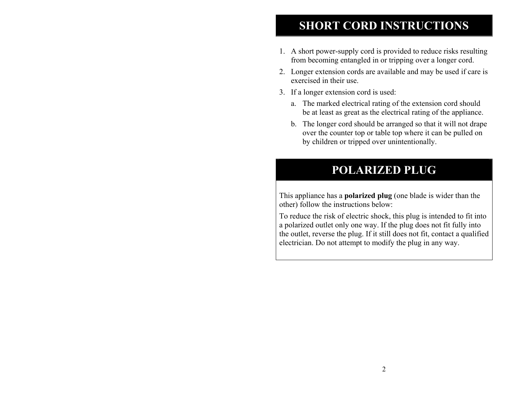# **SHORT CORD INSTRUCTIONS**

- 1. A short power-supply cord is provided to reduce risks resulting from becoming entangled in or tripping over a longer cord.
- 2. Longer extension cords are available and may be used if care is exercised in their use.
- 3. If a longer extension cord is used:
	- a. The marked electrical rating of the extension cord should be at least as great as the electrical rating of the appliance.
	- b. The longer cord should be arranged so that it will not drape over the counter top or table top where it can be pulled on by children or tripped over unintentionally.

## **POLARIZED PLUG**

This appliance has a **polarized plug** (one blade is wider than the other) follow the instructions below:

To reduce the risk of electric shock, this plug is intended to fit into a polarized outlet only one way. If the plug does not fit fully into the outlet, reverse the plug. If it still does not fit, contact a qualified electrician. Do not attempt to modify the plug in any way.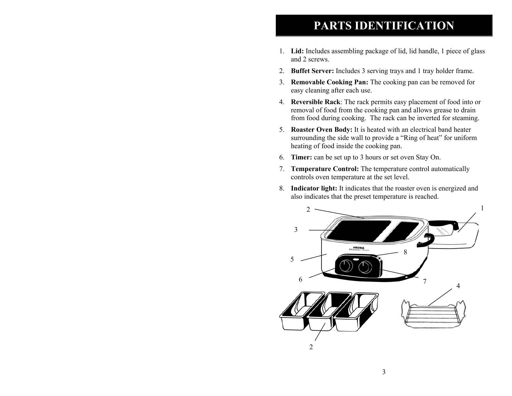## **PARTS IDENTIFICATION**

- 1. **Lid:** Includes assembling package of lid, lid handle, 1 piece of glass and 2 screws.
- 2. **Buffet Server:** Includes 3 serving trays and 1 tray holder frame.
- 3. **Removable Cooking Pan:** The cooking pan can be removed for easy cleaning after each use.
- 4. **Reversible Rack**: The rack permits easy placement of food into or removal of food from the cooking pan and allows grease to drain from food during cooking. The rack can be inverted for steaming.
- 5. **Roaster Oven Body:** It is heated with an electrical band heater surrounding the side wall to provide a "Ring of heat" for uniform heating of food inside the cooking pan.
- 6. **Timer:** can be set up to 3 hours or set oven Stay On.
- 7. **Temperature Control:** The temperature control automatically controls oven temperature at the set level.
- 8. **Indicator light:** It indicates that the roaster oven is energized and also indicates that the preset temperature is reached.

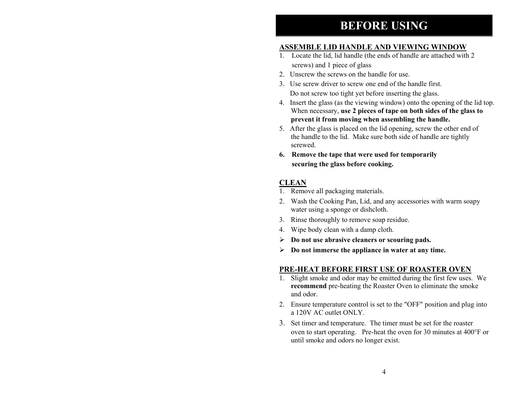## **BEFORE USING**

## **ASSEMBLE LID HANDLE AND VIEWING WINDOW**

- 1. Locate the lid, lid handle (the ends of handle are attached with 2 screws) and 1 piece of glass
- 2. Unscrew the screws on the handle for use.
- 3. Use screw driver to screw one end of the handle first. Do not screw too tight yet before inserting the glass.
- 4. Insert the glass (as the viewing window) onto the opening of the lid top. When necessary, **use 2 pieces of tape on both sides of the glass to prevent it from moving when assembling the handle.**
- 5. After the glass is placed on the lid opening, screw the other end of the handle to the lid. Make sure both side of handle are tightly screwed.
- **6. Remove the tape that were used for temporarily securing the glass before cooking.**

## **CLEAN**

- 1. Remove all packaging materials.
- 2. Wash the Cooking Pan, Lid, and any accessories with warm soapy water using a sponge or dishcloth.
- 3. Rinse thoroughly to remove soap residue.
- 4. Wipe body clean with a damp cloth.
- ¾ **Do not use abrasive cleaners or scouring pads.**
- ¾ **Do not immerse the appliance in water at any time.**

## **PRE-HEAT BEFORE FIRST USE OF ROASTER OVEN**

- 1. Slight smoke and odor may be emitted during the first few uses. We **recommend** pre-heating the Roaster Oven to eliminate the smoke and odor.
- 2. Ensure temperature control is set to the "OFF" position and plug into a 120V AC outlet ONLY.
- 3. Set timer and temperature. The timer must be set for the roaster oven to start operating. Pre-heat the oven for 30 minutes at 400°F or until smoke and odors no longer exist.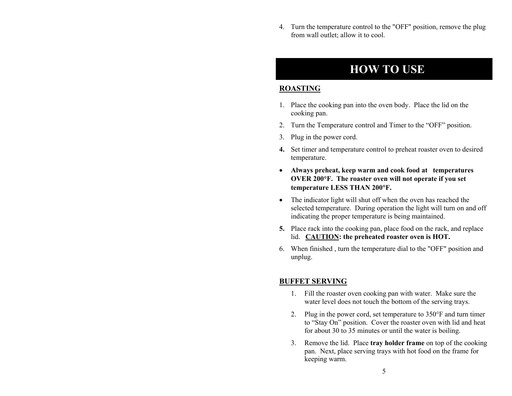4. Turn the temperature control to the "OFF" position, remove the plug from wall outlet; allow it to cool.

## **HOW TO USE**

## **ROASTING**

- 1. Place the cooking pan into the oven body. Place the lid on the cooking pan.
- 2. Turn the Temperature control and Timer to the "OFF" position.
- 3. Plug in the power cord.
- **4.** Set timer and temperature control to preheat roaster oven to desired temperature.
- **Always preheat, keep warm and cook food at temperatures OVER 200**°**F. The roaster oven will not operate if you set temperature LESS THAN 200**°**F.**
- The indicator light will shut off when the oven has reached the selected temperature. During operation the light will turn on and off indicating the proper temperature is being maintained.
- **5.** Place rack into the cooking pan, place food on the rack, and replace lid. **CAUTION: the preheated roaster oven is HOT.**
- 6. When finished , turn the temperature dial to the "OFF" position and unplug.

## **BUFFET SERVING**

- 1. Fill the roaster oven cooking pan with water. Make sure the water level does not touch the bottom of the serving trays.
- 2. Plug in the power cord, set temperature to 350°F and turn timer to "Stay On" position. Cover the roaster oven with lid and heat for about 30 to 35 minutes or until the water is boiling.
- 3. Remove the lid. Place **tray holder frame** on top of the cooking pan. Next, place serving trays with hot food on the frame for keeping warm.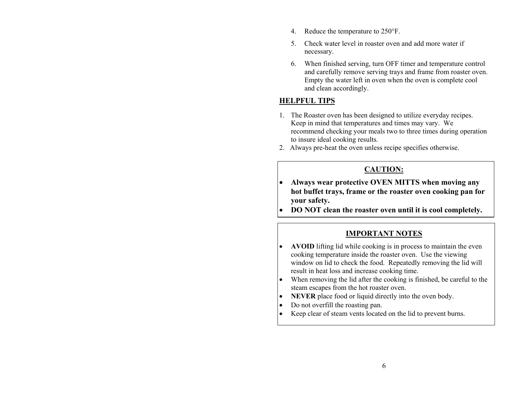- 4. Reduce the temperature to 250°F.
- 5. Check water level in roaster oven and add more water if necessary.
- 6. When finished serving, turn OFF timer and temperature control and carefully remove serving trays and frame from roaster oven. Empty the water left in oven when the oven is complete cool and clean accordingly.

## **HELPFUL TIPS**

- 1. The Roaster oven has been designed to utilize everyday recipes. Keep in mind that temperatures and times may vary. We recommend checking your meals two to three times during operation to insure ideal cooking results.
- 2. Always pre-heat the oven unless recipe specifies otherwise.

## **CAUTION:**

- **Always wear protective OVEN MITTS when moving any hot buffet trays, frame or the roaster oven cooking pan for your safety.**
- **DO NOT clean the roaster oven until it is cool completely.**

## **IMPORTANT NOTES**

- **AVOID** lifting lid while cooking is in process to maintain the even cooking temperature inside the roaster oven. Use the viewing window on lid to check the food. Repeatedly removing the lid will result in heat loss and increase cooking time.
- When removing the lid after the cooking is finished, be careful to the steam escapes from the hot roaster oven.
- **NEVER** place food or liquid directly into the oven body.
- Do not overfill the roasting pan.
- Keep clear of steam vents located on the lid to prevent burns.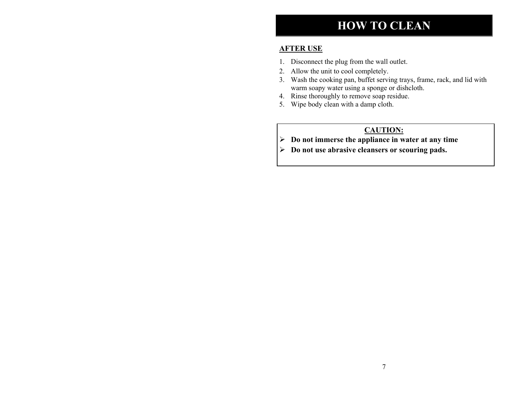# **HOW TO CLEAN**

## **AFTER USE**

- 1. Disconnect the plug from the wall outlet.
- 2. Allow the unit to cool completely.
- 3. Wash the cooking pan, buffet serving trays, frame, rack, and lid with warm soapy water using a sponge or dishcloth.
- 4. Rinse thoroughly to remove soap residue.
- 5. Wipe body clean with a damp cloth.

## **CAUTION:**

- ¾ **Do not immerse the appliance in water at any time**
- ¾ **Do not use abrasive cleansers or scouring pads.**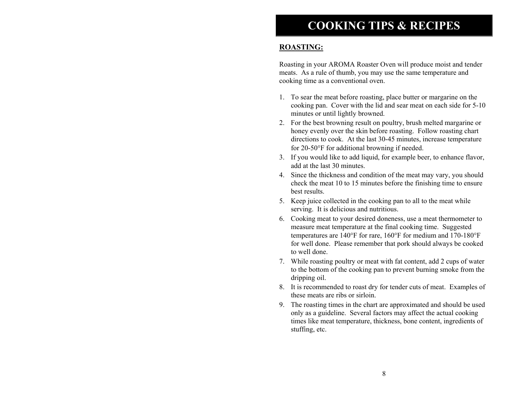## **ROASTING:**

Roasting in your AROMA Roaster Oven will produce moist and tender meats. As a rule of thumb, you may use the same temperature and cooking time as a conventional oven.

- 1. To sear the meat before roasting, place butter or margarine on the cooking pan. Cover with the lid and sear meat on each side for 5-10 minutes or until lightly browned.
- 2. For the best browning result on poultry, brush melted margarine or honey evenly over the skin before roasting. Follow roasting chart directions to cook. At the last 30-45 minutes, increase temperature for 20-50°F for additional browning if needed.
- 3. If you would like to add liquid, for example beer, to enhance flavor, add at the last 30 minutes.
- 4. Since the thickness and condition of the meat may vary, you should check the meat 10 to 15 minutes before the finishing time to ensure best results.
- 5. Keep juice collected in the cooking pan to all to the meat while serving. It is delicious and nutritious.
- 6. Cooking meat to your desired doneness, use a meat thermometer to measure meat temperature at the final cooking time. Suggested temperatures are 140°F for rare, 160°F for medium and 170-180°F for well done. Please remember that pork should always be cooked to well done.
- 7. While roasting poultry or meat with fat content, add 2 cups of water to the bottom of the cooking pan to prevent burning smoke from the dripping oil.
- 8. It is recommended to roast dry for tender cuts of meat. Examples of these meats are ribs or sirloin.
- 9. The roasting times in the chart are approximated and should be used only as a guideline. Several factors may affect the actual cooking times like meat temperature, thickness, bone content, ingredients of stuffing, etc.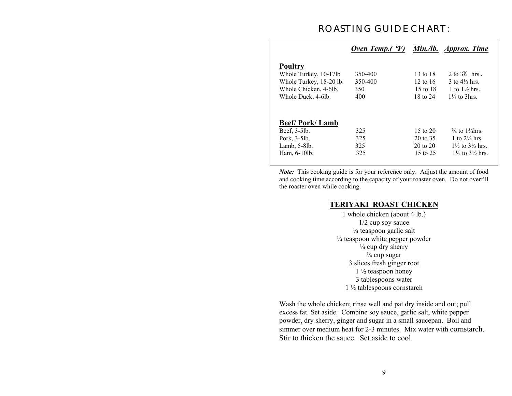## **ROASTING GUIDE CHART:**

|                         | Oven Temp.( $\mathcal{F}$ ) |                     | Min./lb. Approx. Time                 |
|-------------------------|-----------------------------|---------------------|---------------------------------------|
| <b>Poultry</b>          |                             |                     |                                       |
| Whole Turkey, 10-17lb   | 350-400                     | 13 to $18$          | $2$ to $3\frac{1}{2}$ hrs.            |
| Whole Turkey, 18-20 lb. | 350-400                     | 12 to $16$          | $3$ to $4\frac{1}{2}$ hrs.            |
| Whole Chicken, 4-6lb.   | 350                         | 15 to 18            | 1 to $1\frac{1}{2}$ hrs.              |
| Whole Duck, 4-6lb.      | 400                         | 18 to 24            | $1\frac{1}{4}$ to 3hrs                |
| <b>Beef/Pork/Lamb</b>   |                             |                     |                                       |
| Beef, 3-5lb.            | 325                         | 15 to $20$          | $\frac{3}{4}$ to $\frac{13}{4}$ hrs.  |
| Pork, 3-5lb.            | 325                         | 20 to 35            | 1 to $2\frac{1}{4}$ hrs.              |
| Lamb, $5-8$ lb.         | 325                         | $20 \text{ to } 20$ | $1\frac{1}{2}$ to $3\frac{1}{2}$ hrs. |
| Ham, 6-10lb.            | 325                         | 15 to 25            | $1\frac{1}{2}$ to $3\frac{1}{2}$ hrs  |

*Note:* This cooking guide is for your reference only. Adjust the amount of food and cooking time according to the capacity of your roaster oven. Do not overfill the roaster oven while cooking.

#### **TERIYAKI ROAST CHICKEN**

1 whole chicken (about 4 lb.) 1/2 cup soy sauce  $\frac{1}{4}$  teaspoon garlic salt ¼ teaspoon white pepper powder  $\frac{1}{4}$  cup dry sherry  $\frac{1}{4}$  cup sugar 3 slices fresh ginger root  $1\frac{1}{2}$  teaspoon honey 3 tablespoons water 1 ½ tablespoons cornstarch

Wash the whole chicken; rinse well and pat dry inside and out; pull excess fat. Set aside. Combine soy sauce, garlic salt, white pepper powder, dry sherry, ginger and sugar in a small saucepan. Boil and simmer over medium heat for 2-3 minutes. Mix water with cornstarch. Stir to thicken the sauce. Set aside to cool.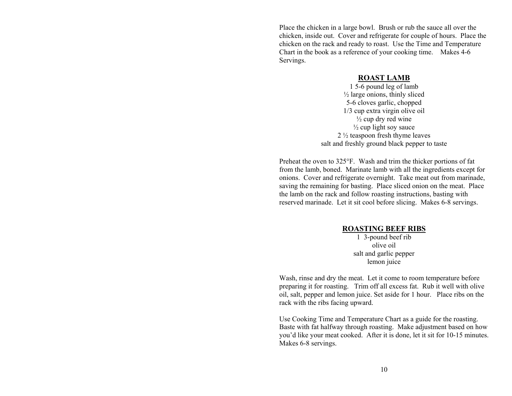Place the chicken in a large bowl. Brush or rub the sauce all over the chicken, inside out. Cover and refrigerate for couple of hours. Place the chicken on the rack and ready to roast. Use the Time and Temperature Chart in the book as a reference of your cooking time. Makes 4-6 Servings.

#### **ROAST LAMB**

1 5-6 pound leg of lamb ½ large onions, thinly sliced 5-6 cloves garlic, chopped 1/3 cup extra virgin olive oil  $\frac{1}{2}$  cup dry red wine  $\frac{1}{2}$  cup light soy sauce 2 ½ teaspoon fresh thyme leaves salt and freshly ground black pepper to taste

Preheat the oven to 325°F. Wash and trim the thicker portions of fat from the lamb, boned. Marinate lamb with all the ingredients except for onions. Cover and refrigerate overnight. Take meat out from marinade, saving the remaining for basting. Place sliced onion on the meat. Place the lamb on the rack and follow roasting instructions, basting with reserved marinade. Let it sit cool before slicing. Makes 6-8 servings.

#### **ROASTING BEEF RIBS**

1 3-pound beef rib olive oil salt and garlic pepper lemon juice

Wash, rinse and dry the meat. Let it come to room temperature before preparing it for roasting. Trim off all excess fat. Rub it well with olive oil, salt, pepper and lemon juice. Set aside for 1 hour. Place ribs on the rack with the ribs facing upward.

Use Cooking Time and Temperature Chart as a guide for the roasting. Baste with fat halfway through roasting. Make adjustment based on how you'd like your meat cooked. After it is done, let it sit for 10-15 minutes. Makes 6-8 servings.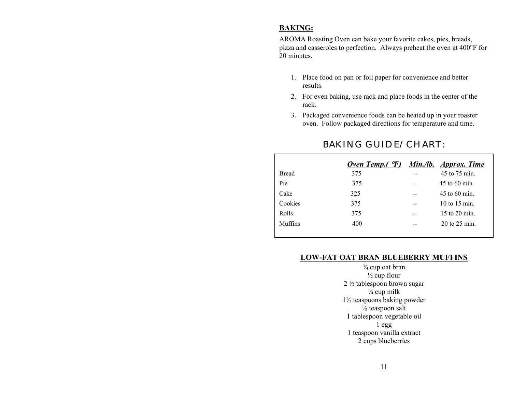## **BAKING:**

AROMA Roasting Oven can bake your favorite cakes, pies, breads, pizza and casseroles to perfection. Always preheat the oven at 400°F for 20 minutes.

- 1. Place food on pan or foil paper for convenience and better results.
- 2. For even baking, use rack and place foods in the center of the rack.
- 3. Packaged convenience foods can be heated up in your roaster oven. Follow packaged directions for temperature and time.

|              | Oven Temp. $( \n\cdot \nabla F)$ | Min./lb. Approx. Time |
|--------------|----------------------------------|-----------------------|
| <b>Bread</b> | 375                              | 45 to 75 min.         |
| Pie          | 375                              | 45 to 60 min.         |
| Cake         | 325                              | $45$ to 60 min.       |
| Cookies      | 375                              | 10 to 15 min.         |
| Rolls        | 375                              | $15$ to $20$ min.     |
| Muffins      | 400                              | $20$ to $25$ min.     |
|              |                                  |                       |

## **BAKING GUIDE/ CHART:**

## **LOW-FAT OAT BRAN BLUEBERRY MUFFINS**

¾ cup oat bran  $\frac{1}{2}$  cup flour 2 ½ tablespoon brown sugar  $\overline{1/4}$  cup milk 1½ teaspoons baking powder  $\frac{1}{2}$  teaspoon salt 1 tablespoon vegetable oil 1 egg 1 teaspoon vanilla extract 2 cups blueberries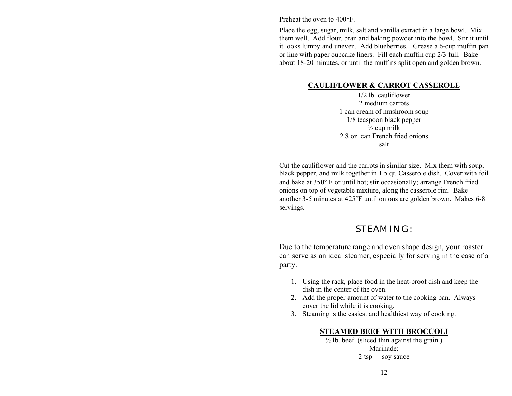Preheat the oven to 400°F.

Place the egg, sugar, milk, salt and vanilla extract in a large bowl. Mix them well. Add flour, bran and baking powder into the bowl. Stir it until it looks lumpy and uneven. Add blueberries. Grease a 6-cup muffin pan or line with paper cupcake liners. Fill each muffin cup 2/3 full. Bake about 18-20 minutes, or until the muffins split open and golden brown.

### **CAULIFLOWER & CARROT CASSEROLE**

1/2 lb. cauliflower 2 medium carrots 1 can cream of mushroom soup 1/8 teaspoon black pepper  $\frac{1}{2}$  cup milk 2.8 oz. can French fried onions salt

Cut the cauliflower and the carrots in similar size. Mix them with soup, black pepper, and milk together in 1.5 qt. Casserole dish. Cover with foil and bake at 350° F or until hot; stir occasionally; arrange French fried onions on top of vegetable mixture, along the casserole rim. Bake another 3-5 minutes at 425°F until onions are golden brown. Makes 6-8 servings.

## **STEAMING:**

Due to the temperature range and oven shape design, your roaster can serve as an ideal steamer, especially for serving in the case of a party.

- 1. Using the rack, place food in the heat-proof dish and keep the dish in the center of the oven.
- 2. Add the proper amount of water to the cooking pan. Always cover the lid while it is cooking.
- 3. Steaming is the easiest and healthiest way of cooking.

## **STEAMED BEEF WITH BROCCOLI**

 $\frac{1}{2}$  lb. beef (sliced thin against the grain.) Marinade: 2 tsp soy sauce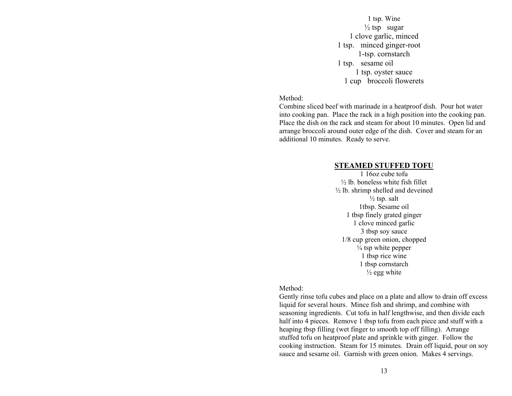1 tsp. Wine  $\frac{1}{2}$  tsp sugar 1 clove garlic, minced 1 tsp. minced ginger-root 1-tsp. cornstarch 1 tsp. sesame oil 1 tsp. oyster sauce 1 cup broccoli flowerets

#### Method:

Combine sliced beef with marinade in a heatproof dish. Pour hot water into cooking pan. Place the rack in a high position into the cooking pan. Place the dish on the rack and steam for about 10 minutes. Open lid and arrange broccoli around outer edge of the dish. Cover and steam for an additional 10 minutes. Ready to serve.

#### **STEAMED STUFFED TOFU**

1 16oz cube tofu  $\frac{1}{2}$  lb. boneless white fish fillet  $\frac{1}{2}$  lb. shrimp shelled and deveined  $\frac{1}{2}$  tsp. salt 1tbsp. Sesame oil 1 tbsp finely grated ginger 1 clove minced garlic 3 tbsp soy sauce 1/8 cup green onion, chopped  $\frac{1}{4}$  tsp white pepper 1 tbsp rice wine 1 tbsp cornstarch  $\frac{1}{2}$  egg white

### Method:

Gently rinse tofu cubes and place on a plate and allow to drain off excess liquid for several hours. Mince fish and shrimp, and combine with seasoning ingredients. Cut tofu in half lengthwise, and then divide each half into 4 pieces. Remove 1 tbsp tofu from each piece and stuff with a heaping tbsp filling (wet finger to smooth top off filling). Arrange stuffed tofu on heatproof plate and sprinkle with ginger. Follow the cooking instruction. Steam for 15 minutes. Drain off liquid, pour on soy sauce and sesame oil. Garnish with green onion. Makes 4 servings.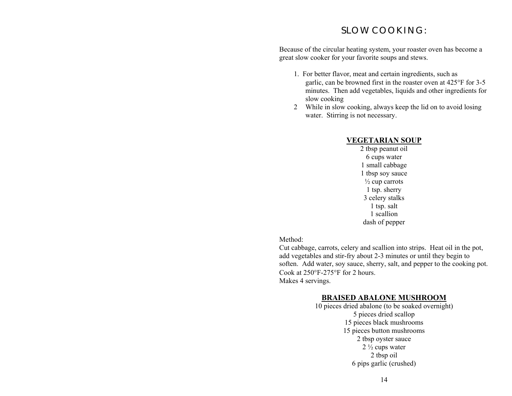## **SLOW COOKING:**

Because of the circular heating system, your roaster oven has become a great slow cooker for your favorite soups and stews.

- 1. For better flavor, meat and certain ingredients, such as garlic, can be browned first in the roaster oven at 425°F for 3-5 minutes. Then add vegetables, liquids and other ingredients for slow cooking
- 2 While in slow cooking, always keep the lid on to avoid losing water. Stirring is not necessary.

## **VEGETARIAN SOUP**

2 tbsp peanut oil 6 cups water 1 small cabbage 1 tbsp soy sauce  $\frac{1}{2}$  cup carrots 1 tsp. sherry 3 celery stalks 1 tsp. salt 1 scallion dash of pepper

Method:

Cut cabbage, carrots, celery and scallion into strips. Heat oil in the pot, add vegetables and stir-fry about 2-3 minutes or until they begin to soften. Add water, soy sauce, sherry, salt, and pepper to the cooking pot. Cook at 250°F-275°F for 2 hours. Makes 4 servings.

## **BRAISED ABALONE MUSHROOM**

10 pieces dried abalone (to be soaked overnight) 5 pieces dried scallop 15 pieces black mushrooms 15 pieces button mushrooms 2 tbsp oyster sauce  $2\frac{1}{2}$  cups water 2 tbsp oil 6 pips garlic (crushed)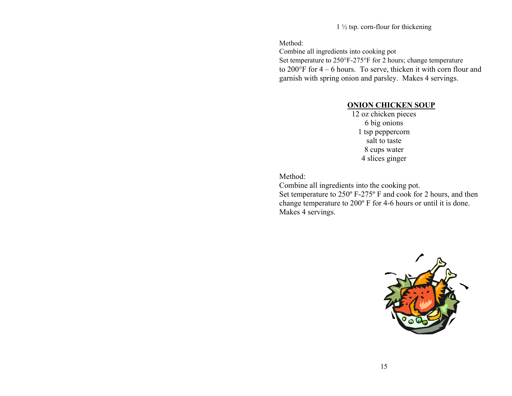$1\frac{1}{2}$  tsp. corn-flour for thickening

Method:

Combine all ingredients into cooking pot Set temperature to 250°F-275°F for 2 hours; change temperature to 200°F for 4 – 6 hours. To serve, thicken it with corn flour and garnish with spring onion and parsley. Makes 4 servings.

## **ONION CHICKEN SOUP**

12 oz chicken pieces 6 big onions 1 tsp peppercorn salt to taste 8 cups water 4 slices ginger

Method:

Combine all ingredients into the cooking pot. Set temperature to 250º F-275º F and cook for 2 hours, and then change temperature to 200º F for 4-6 hours or until it is done. Makes 4 servings.